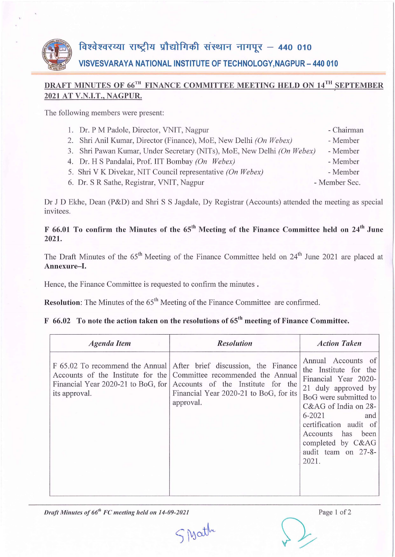

## **DRAFT MINUTES OF** 66TH **FINANCE COMMITTEE MEETING HELD ON 14TH SEPTEMBER 2021 AT V.N.I.T., NAGPUR.**

The following members were present:

- 1. Dr. P M Padole, Director, VNIT, Nagpur Chairman
- 2. Shri Anil Kumar, Director (Finance), MoE, New Delhi *(On Webex)* Member
- 3. Shri Pawan Kumar, Under Secretary (NITs), MoE, New Delhi *(On Webex)*  Member
- 4. Dr. H S Pandalai, Prof. IIT Bombay *(On Webex)*  Member
- 5. Shri V K Divekar, NIT Council representative *(On Webex)*  Member
- 6. Dr. S R Sathe, Registrar, VNIT, Nagpur Member Sec.

Dr J D Ekhe, Dean (P&D) and Shri S S Jagdale, Dy Registrar (Accounts) attended the meeting as special invitees.

**F 66.01 To confirm the Minutes of the 65th Meeting of the Finance Committee held on 24th June 2021.** 

The Draft Minutes of the 65<sup>th</sup> Meeting of the Finance Committee held on 24<sup>th</sup> June 2021 are placed at **Annexure-I.** 

Hence, the Finance Committee is requested to confirm the minutes.

**Resolution:** The Minutes of the 65<sup>th</sup> Meeting of the Finance Committee are confirmed.

|  |  |  |  | F 66.02 To note the action taken on the resolutions of $65th$ meeting of Finance Committee. |
|--|--|--|--|---------------------------------------------------------------------------------------------|
|--|--|--|--|---------------------------------------------------------------------------------------------|

| <b>Agenda Item</b>                                  | <b>Resolution</b>                                                                                                                                                                                                                     | <b>Action Taken</b>                                                                                                                                                                                                                                                     |
|-----------------------------------------------------|---------------------------------------------------------------------------------------------------------------------------------------------------------------------------------------------------------------------------------------|-------------------------------------------------------------------------------------------------------------------------------------------------------------------------------------------------------------------------------------------------------------------------|
| Financial Year 2020-21 to BoG, for<br>its approval. | F 65.02 To recommend the Annual After brief discussion, the Finance<br>Accounts of the Institute for the Committee recommended the Annual<br>Accounts of the Institute for the<br>Financial Year 2020-21 to BoG, for its<br>approval. | Annual Accounts of<br>the Institute for the<br>Financial Year 2020-<br>21 duly approved by<br>BoG were submitted to<br>C&AG of India on 28-<br>$6 - 2021$<br>and<br>certification audit of<br>has been<br>Accounts<br>completed by C&AG<br>audit team on 27-8-<br>2021. |

SMath

*Draft Minutes of 66<sup>th</sup> FC meeting held on 14-09-2021* 

- 
- 
- 
- 
- 
-